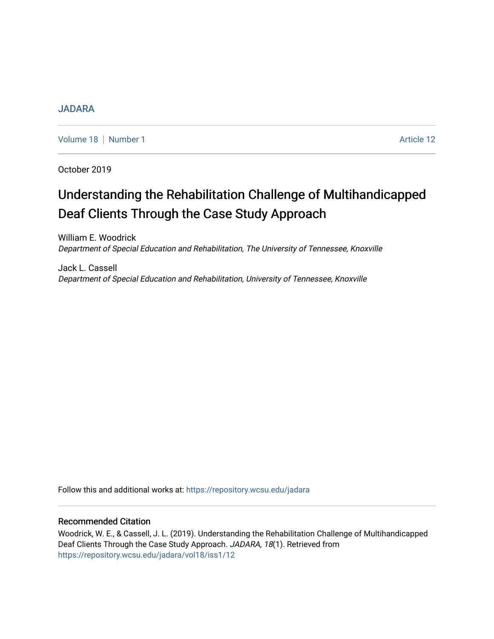# [JADARA](https://repository.wcsu.edu/jadara)

[Volume 18](https://repository.wcsu.edu/jadara/vol18) | [Number 1](https://repository.wcsu.edu/jadara/vol18/iss1) Article 12

October 2019

# Understanding the Rehabilitation Challenge of Multihandicapped Deaf Clients Through the Case Study Approach

William E. Woodrick Department of Special Education and Rehabilitation, The University of Tennessee, Knoxville

Jack L. Cassell Department of Special Education and Rehabilitation, University of Tennessee, Knoxville

Follow this and additional works at: [https://repository.wcsu.edu/jadara](https://repository.wcsu.edu/jadara?utm_source=repository.wcsu.edu%2Fjadara%2Fvol18%2Fiss1%2F12&utm_medium=PDF&utm_campaign=PDFCoverPages)

# Recommended Citation

Woodrick, W. E., & Cassell, J. L. (2019). Understanding the Rehabilitation Challenge of Multihandicapped Deaf Clients Through the Case Study Approach. JADARA, 18(1). Retrieved from [https://repository.wcsu.edu/jadara/vol18/iss1/12](https://repository.wcsu.edu/jadara/vol18/iss1/12?utm_source=repository.wcsu.edu%2Fjadara%2Fvol18%2Fiss1%2F12&utm_medium=PDF&utm_campaign=PDFCoverPages)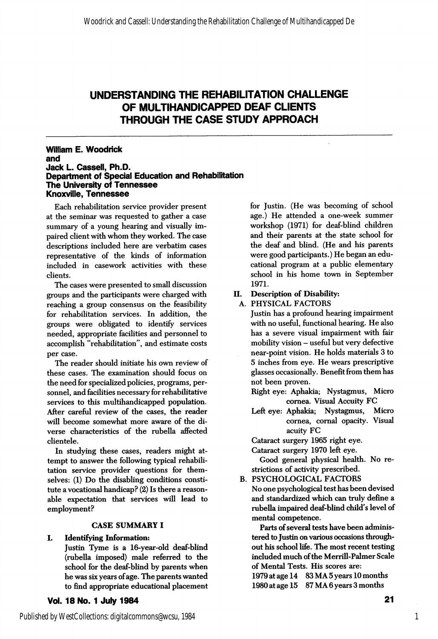#### William E. Woodrick and Jack L. Casseil, Ph.D. Department of Speciai Education and Rehabilitation The University of Tennessee Knoxville, Tennessee

Each rehabilitation service provider present at the seminar was requested to gather a case summary of a young hearing and visually im paired client with whom they worked. The case descriptions included here are verbatim cases representative of the kinds of information included in casework activities with these clients.

The cases were presented to small discussion groups and the participants were charged with II. reaching a group consensus on the feasibility for rehabilitation services. In addition, the groups were obligated to identify services needed, appropriate facihties and personnel to accomplish "rehabilitation", and estimate costs per case.

The reader should initiate his own review of these cases. The examination should focus on the need for specialized policies, programs, per sonnel, and facilities necessary for rehabilitative services to this multihandicapped population. After careful review of the cases, the reader will become somewhat more aware of the di verse characteristics of the rubella affected clientele.

In studying these cases, readers might at tempt to answer the following typical rehabih tation service provider questions for them selves: (1) Do the disabling conditions constitute a vocational handicap? (2) Is there a reason able expectation that services will lead to employment?

# CASE SUMMARY I

# I. Identifying Information:

Justin Tyme is a 16-year-old deaf-blind (rubella imposed) male referred to the school for the deaf-blind by parents when he was six years of age. The parents wanted to find appropriate educational placement

Vol. 18 No. 1 July 1984

for Justin. (He was becoming of school age.) He attended a one-week summer workshop (1971) for deaf-blind children and their parents at the state school for the deaf and blind. (He and his parents were good participants.) He began an edu cational program at a public elementary school in his home town in September 1971.

## Description of Disability:

A. PHYSICAL FACTORS

Justin has a profound hearing impairment with no useful, functional hearing. He also has a severe visual impairment with fair mobility vision - useful but very defective near-point vision. He holds materials 3 to 5 inches from eye. He wears prescriptive glasses occasionally. Benefit from them has not been proven.

Right eye: Aphakia; Nystagmus, Micro cornea. Visual Accuity FC

Left eye: Aphakia; Nystagmus, Micro cornea, comal opacity. Visual acuity FC

Cataract surgery 1965 right eye.

Cataract surgery 1970 left eye.

Good general physical health. No re strictions of activity prescribed.

B. PSYCHOLOGICAL FACTORS

No one psychological test has been devised and standardized which can truly define a rubella impaired deaf-blind child's level of mental competence.

Parts of several tests have been adminis tered to Justin on various occasions through out his school life. The most recent testing included much of the Merrill-Palmer Scale of Mental Tests. His scores are:

1979 at age 14 83 MA 5 years 10 months 1980 at age 15 87 MA 6 years 3 months

1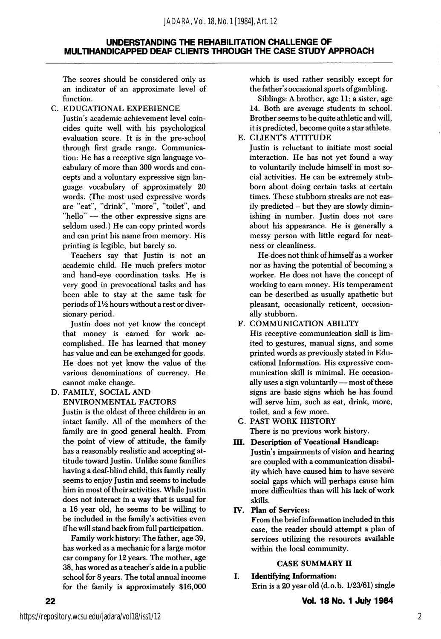The scores should be considered only as an indicator of an approximate level of function.

## C. EDUCATIONAL EXPERIENCE

Justin's academic achievement level coin cides quite well with his psychological evaluation score. It is in the pre-school through first grade range. Communica tion: He has a receptive sign language vo cabulary of more than 300 words and con cepts and a voluntary expressive sign lan guage vocabulary of approximately 20 words. (The most used expressive words are "eat", "drink", "more", "toilet", and "hello" — the other expressive signs are seldom used.) He can copy printed words and can print his name from memory. His printing is legible, but barely so.

Teachers say that Justin is not an academic child. He much prefers motor and hand-eye coordination tasks. He is very good in prevocational tasks and has been able to stay at the same task for periods of  $1\frac{1}{2}$  hours without a rest or diversionary period.

Justin does not yet know the concept that money is earned for work ac complished. He has learned that money has value and can be exchanged for goods. He does not yet know the value of the various denominations of currency. He cannot make change.

D. FAMILY, SOCIAL AND ENVIRONMENTAL FACTORS

Justin is the oldest of three children in an intact family. All of the members of the family are in good general health. From the point of view of attitude, the family has a reasonably realistic and accepting at titude toward Justin. Unlike some families having a deaf-blind child, this family really seems to enjoy Justin and seems to include him in most of their activities. While Justin does not interact in a way that is usual for a 16 year old, he seems to be willing to be included in the family's activities even if he will stand back from full participation.

Family work history: The father, age 39, has worked as a mechanic for a large motor car company for 12 years. The mother, age 38, has wored as a teacher's aide in a public school for 8 years. The total annual income for the family is approximately \$16,000 which is used rather sensibly except for the father's occasional spurts of gambling.

Siblings: A brother, age II; a sister, age 14. Both are average students in school. Brother seems to be quite athletic and will, it is predicted, become quite a star athlete.

# E. CLIENT'S ATTITUDE

Justin is reluctant to initiate most social interaction. He has not yet found a way to voluntarily include himself in most so cial activities. He can be extremely stubbom about doing certain tasks at certain times. These stubborn streaks are not eas ily predicted - but they are slowly dimin ishing in number. Justin does not care about his appearance. He is generally a messy person with little regard for neat ness or cleanliness.

He does not think of himself as a worker nor as having the potential of becoming a worker. He does not have the concept of working to earn money. His temperament can be described as usually apathetic but pleasant, occasionally reticent, occasion ally stubborn.

# F. COMMUNICATION ABILITY

His receptive communication skill is lim ited to gestures, manual signs, and some printed words as previously stated in Edu cational Information. His expressive com munication skill is minimal. He occasion ally uses a sign voluntarily — most of these signs are basic signs which he has found will serve him, such as eat, drink, more, toilet, and a few more.

- G. PAST WORK HISTORY There is no previous work history.
- III. Description of Vocational Handicap: Justin's impairments of vision and hearing are coupled with a communication disabil ity which have caused him to have severe social gaps which will perhaps cause him more difficulties than will his lack of work skills.

# IV. Plan of Services:

From the brief information included in this case, the reader should attempt a plan of services utilizing the resources available within the local community.

#### CASE SUMMARY II

I. Identifying Information: Erin is a 20 year old (d.o.b. 1/23/61) single

Vol. 18 No. 1 July 1984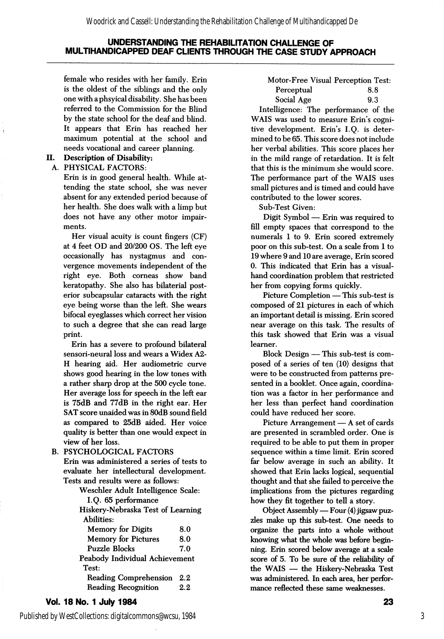female who resides with her family. Erin is the oldest of the siblings and the only one with aphsyical disability. She has been referred to the Commission for the Blind by the state school for the deaf and blind. It appears that Erin has reached her maximum potential at the school and needs vocational and career planning.

# II. Description of Disability:

#### A. PHYSICAL FACTORS:

Erin is in good general health. While at tending the state school, she was never absent for any extended period because of her health. She does walk with a limp but does not have any other motor impair ments.

Her visual acuity is count fingers (CF) at 4 feet CD and 20/200 OS. The left eye occasionally has nystagmus and con vergence movements independent of the right eye. Both corneas show band keratopathy. She also has bilaterial post erior subcapsular cataracts with the right eye being worse than the left. She wears bifocal eyeglasses which correct her vision to such a degree that she can read large print.

Erin has a severe to profound bilateral sensori-neural loss and wears a Widex A2- H hearing aid. Her audiometric curve shows good hearing in the low tones with a rather sharp drop at the 500 cycle tone. Her average loss for speech in the left ear is 75dB and 77dB in the right ear. Her SAT score unaided was in 80dB sound field as compared to 25dB aided. Her voice quality is better than one would expect in view of her loss.

B. PSYCHOLOGICAL FACTORS Erin was administered a series of tests to evaluate her intellectural development. Tests and results were as follows:

Weschler Adult Intelligence Scale:

|  |  | I.Q. 65 performance |
|--|--|---------------------|
|--|--|---------------------|

Hiskery-Nebraska Test of Learning Abilities: Memory for Digits 8.0 Memory for Pictures 8.0 Puzzle Blocks 7.0 Peabody Individual Achievement Test: Reading Comprehension 2.2

Reading Recognition 2.2

#### Vol. 18 No. 1 July 1984

Published by WestCollections: digitalcommons@wcsu, 1984

Motor-Free Visual Perception Test: Perceptual 8.8 Social Age 9.3

Intelligence: The performance of the WAIS was used to measure Erin's cogni tive development. Erin's I.Q. is deter mined to be 65. This score does not include her verbal abilities. This score places her in the mild range of retardation. It is felt that this is the minimum she would score. The performance part of the WAIS uses small pictures and is timed and could have contributed to the lower scores.

Sub-Test Given:

Digit Symbol — Erin was required to fill empty spaces that correspond to the numerals 1 to 9. Erin scored extremely poor on this sub-test. On a scale from 1 to 19 where 9 and 10 are average, Erin scored 0. This indicated that Erin has a visualhand coordination problem that restricted her from copying forms quickly.

Picture Completion — This sub-test is composed of 21 pictures in each of which an important detail is missing. Erin scored near average on this task. The results of this task showed that Erin was a visual learner.

Block Design — This sub-test is com posed of a series of ten (10) designs that were to be constructed from patterns pre sented in a booklet. Once again, coordina tion was a factor in her performance and her less than perfect hand coordination could have reduced her score.

Picture Arrangement — A set of cards are presented in scrambled order. One is required to be able to put them in proper sequence within a time limit. Erin scored far below average in such an ability. It showed that Erin lacks logical, sequential thought and that she failed to perceive the implications from the pictures regarding how they fit together to tell a story.

Object Assembly — Four (4) jigsaw puz zles make up this sub-test. One needs to organize the parts into a whole without knowing what the whole was before begin ning. Erin scored below average at a scale score of 5. To be sure of the reliability of the WAIS — the Hiskery-Nebraska Test was administered. In each area, her perfor mance reflected these same weaknesses.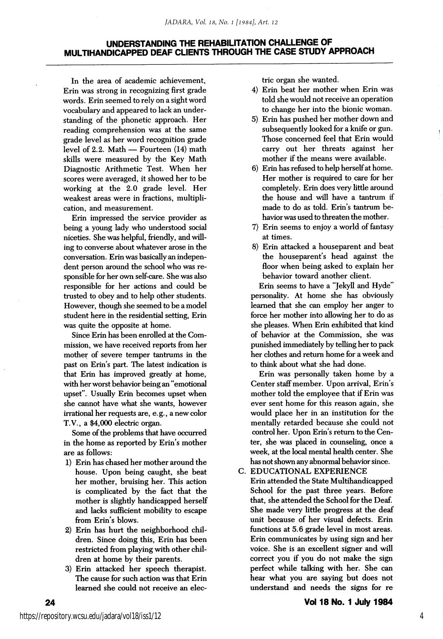In the area of academic achievement, Erin was strong in recognizing first grade words. Erin seemed to rely on a sight word vocabulary and appeared to lack an under standing of the phonetic approach. Her reading comprehension was at the same grade level as her word recognition grade level of 2.2. Math — Fourteen (14) math skills were measured by the Key Math Diagnostic Arithmetic Test. When her scores were averaged, it showed her to be working at the 2.0 grade level. Her weakest areas were in fractions, multipli cation, and measurement.

Erin impressed the service provider as being a young lady who understood social niceties. She was helpful, friendly, and will ing to converse about whatever arose in the conversation. Erin was basically an indepen dent person around the school who was re sponsible for her own self-care. She was also responsible for her actions and could be trusted to obey and to help other students. However, though she seemed to be a model student here in the residential setting, Erin was quite the opposite at home.

Since Erin has been enrolled at the Com mission, we have received reports from her mother of severe temper tantrums in the past on Erin's part. The latest indication is that Erin has improved greatly at home, with her worst behavior being an "emotional upset". Usually Erin becomes upset when she cannot have what she wants, however irrational her requests are, e.g., a new color T.V., a \$4,000 electric organ.

Some of the problems that have occurred in the home as reported by Erin's mother are as follows:

- 1) Erin has chased her mother around the house. Upon being caught, she beat her mother, bruising her. This action is complicated by the fact that the mother is slightly handicapped herself and lacks sufficient mobility to escape from Erin's blows.
- 2) Erin has hurt the neighborhood chil dren. Since doing this, Erin has been restricted from playing with other chil dren at home by their parents.
- 3) Erin attacked her speech therapist. The cause for such action was that Erin learned she could not receive an elec-

trie organ she wanted.

- 4) Erin beat her mother when Erin was told she would not receive an operation to change her into the bionic woman.
- 5) Erin has pushed her mother down and subsequently looked for a knife or gun. Those concerned feel that Erin would carry out her threats against her mother if the means were available.
- 6) Erin has refused to help herself at home. Her mother is required to care for her completely. Erin does very httle around the house and will have a tantrum if made to do as told. Erin's tantrum be havior was used to threaten the mother.
- 7) Erin seems to enjoy a world of fantasy at times.
- 8) Erin attacked a houseparent and beat the houseparent's head against the floor when being asked to explain her behavior toward another client.

Erin seems to have a "Jekyll and Hyde" personality. At home she has obviously learned that she can employ her anger to force her mother into allowing her to do as she pleases. When Erin exhibited that kind of behavior at the Commission, she was punished immediately by telling her to pack her clothes and return home for a week and to think about what she had done.

Erin was personally taken home by a Center staff member. Upon arrival, Erin's mother told the employee that if Erin was ever sent home for this reason again, she would place her in an institution for the mentally retarded because she could not control her. Upon Erin's return to the Cen ter, she was placed in counseling, once a week, at the local mental health center. She has not shown any abnormal behavior since.

C. EDUCATIONAL EXPERIENCE

Erin attended the State Multihandicapped School for the past three years. Before that, she attended the School for the Deaf. She made very little progress at the deaf unit because of her visual defects. Erin functions at 5.6 grade level in most areas. Erin communicates by using sign and her voice. She is an excellent signer and will correct you if you do not make the sign perfect while talking with her. She can hear what you are saying but does not understand and needs the signs for re

24

4